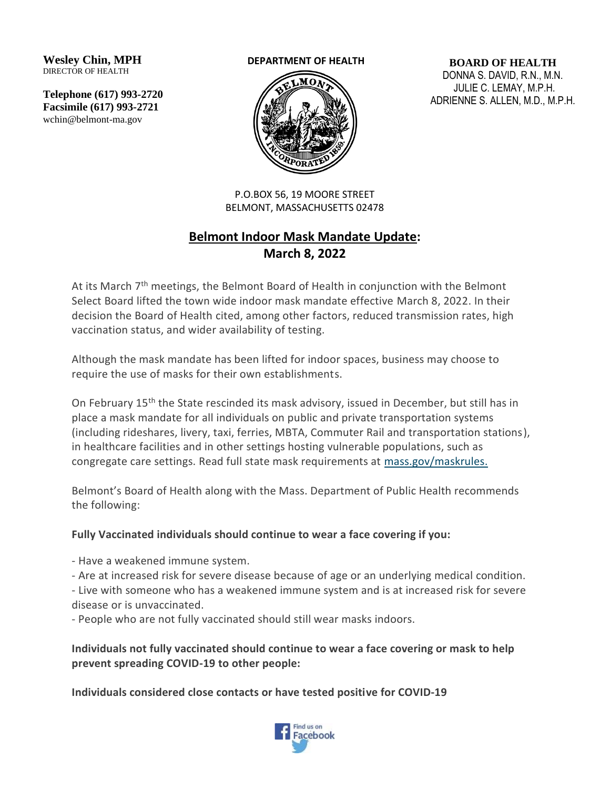**Wesley Chin, MPH** DIRECTOR OF HEALTH

**Telephone (617) 993-2720 Facsimile (617) 993-2721** wchin@belmont-ma.gov

## **DEPARTMENT OF HEALTH**



**BOARD OF HEALTH** DONNA S. DAVID, R.N., M.N. JULIE C. LEMAY, M.P.H. ADRIENNE S. ALLEN, M.D., M.P.H.

P.O.BOX 56, 19 MOORE STREET BELMONT, MASSACHUSETTS 02478

## **Belmont Indoor Mask Mandate Update: March 8, 2022**

At its March  $7<sup>th</sup>$  meetings, the Belmont Board of Health in conjunction with the Belmont Select Board lifted the town wide indoor mask mandate effective March 8, 2022. In their decision the Board of Health cited, among other factors, reduced transmission rates, high vaccination status, and wider availability of testing.

Although the mask mandate has been lifted for indoor spaces, business may choose to require the use of masks for their own establishments.

On February 15<sup>th</sup> the State rescinded its mask advisory, issued in December, but still has in place a mask mandate for all individuals on public and private transportation systems (including rideshares, livery, taxi, ferries, MBTA, Commuter Rail and transportation stations), in healthcare facilities and in other settings hosting vulnerable populations, such as congregate care settings. Read full state mask requirements at [mass.gov/maskrules.](https://www.mass.gov/info-details/covid-19-mask-requirements#mask-advisory-for-vaccinated-and-unvaccinated-residents-)

Belmont's Board of Health along with the Mass. Department of Public Health recommends the following:

## **Fully Vaccinated individuals should continue to wear a face covering if you:**

- Have a weakened immune system.

- Are at increased risk for severe disease because of age or an underlying medical condition.

- Live with someone who has a weakened immune system and is at increased risk for severe disease or is unvaccinated.

- People who are not fully vaccinated should still wear masks indoors.

**Individuals not fully vaccinated should continue to wear a face covering or mask to help prevent spreading COVID-19 to other people:**

**Individuals considered close contacts or have tested positive for COVID-19**